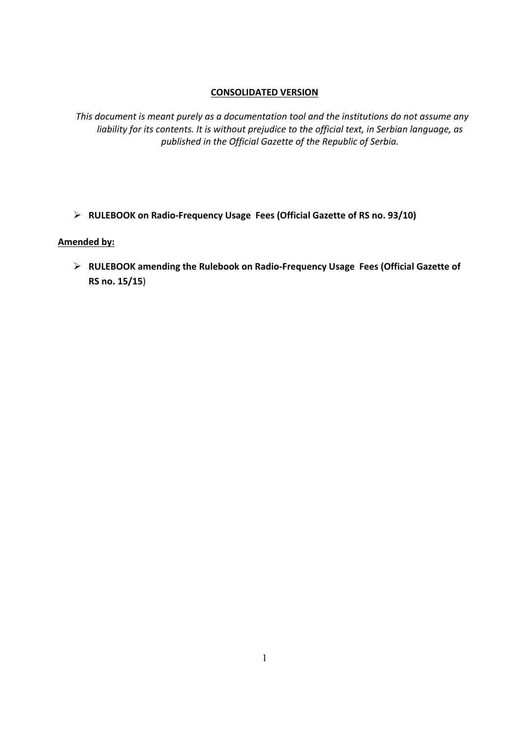## **CONSOLIDATED VERSION**

*This document is meant purely as a documentation tool and the institutions do not assume any liability for its contents. It is without prejudice to the official text, in Serbian language, as published in the Official Gazette of the Republic of Serbia.*

**RULEBOOK on Radio‐Frequency Usage Fees (Official Gazette of RS no. 93/10)**

## **Amended by:**

 **RULEBOOK amending the Rulebook on Radio‐Frequency Usage Fees (Official Gazette of RS no. 15/15**)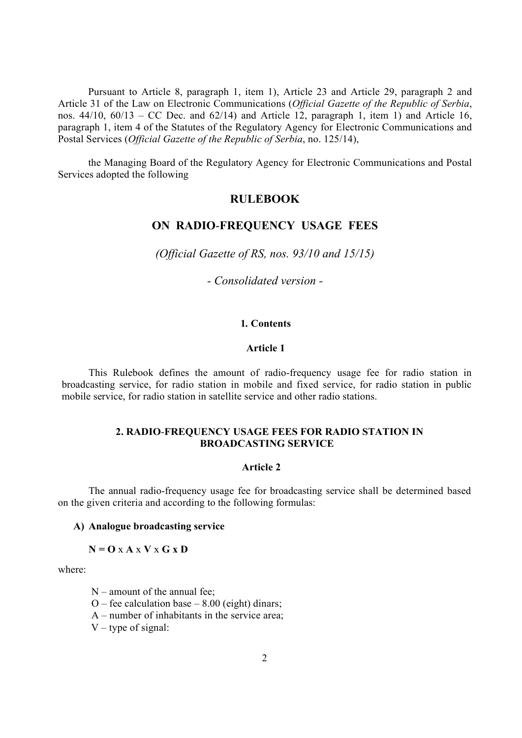Pursuant to Article 8, paragraph 1, item 1), Article 23 and Article 29, paragraph 2 and Article 31 of the Law on Electronic Communications (*Official Gazette of the Republic of Serbia*, nos.  $44/10$ ,  $60/13$  – CC Dec. and  $62/14$ ) and Article 12, paragraph 1, item 1) and Article 16, paragraph 1, item 4 of the Statutes of the Regulatory Agency for Electronic Communications and Postal Services (*Official Gazette of the Republic of Serbia*, no. 125/14),

the Managing Board of the Regulatory Agency for Electronic Communications and Postal Services adopted the following

# **RULEBOOK**

# **ОN RADIO**-**FREQUENCY USAGE FEES**

*(Official Gazette of RS, nos. 93/10 and 15/15)* 

*- Consolidated version -* 

### **1***.* **Contents**

### **Article 1**

This Rulebook defines the amount of radio-frequency usage fee for radio station in broadcasting service, for radio station in mobile and fixed service, for radio station in public mobile service, for radio station in satellite service and other radio stations.

## **2. RADIO**-**FREQUENCY USAGE FEES FOR RADIO STATION IN BROADCASTING SERVICE**

#### **Article 2**

The annual radio-frequency usage fee for broadcasting service shall be determined based on the given criteria and according to the following formulas:

### **A) Analogue broadcasting service**

#### $N = 0$  x  $A \times V \times G \times D$

where:

 $N$  – amount of the annual fee:

- O fee calculation base  $8.00$  (eight) dinars;
- А number of inhabitants in the service area;
- $V$  type of signal: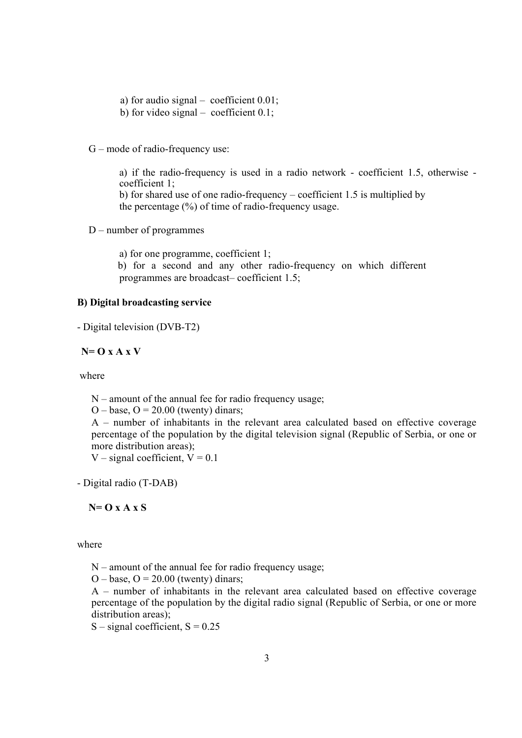- а) for audio signal coefficient 0.01;
- b) for video signal coefficient  $0.1$ ;
- G mode of radio-frequency use:

a) if the radio-frequency is used in a radio network - coefficient 1.5, otherwise coefficient 1; b) for shared use of one radio-frequency – coefficient 1.5 is multiplied by the percentage (%) of time of radio-frequency usage.

D – number of programmes

a) for one programme, coefficient 1;

 b) for a second and any other radio-frequency on which different programmes are broadcast– coefficient 1.5;

## **B) Digital broadcasting service**

- Digital television (DVB-T2)

**N= O x A x V** 

where

N – amount of the annual fee for radio frequency usage;

 $O - base$ ,  $O = 20.00$  (twenty) dinars;

А – number of inhabitants in the relevant area calculated based on effective coverage percentage of the population by the digital television signal (Republic of Serbia, or one or more distribution areas);

V – signal coefficient,  $V = 0.1$ 

- Digital radio (T-DAB)

**N= O x A x S** 

where

 $N$  – amount of the annual fee for radio frequency usage;

 $O - base$ ,  $O = 20.00$  (twenty) dinars;

А – number of inhabitants in the relevant area calculated based on effective coverage percentage of the population by the digital radio signal (Republic of Serbia, or one or more distribution areas);

 $S$  – signal coefficient,  $S = 0.25$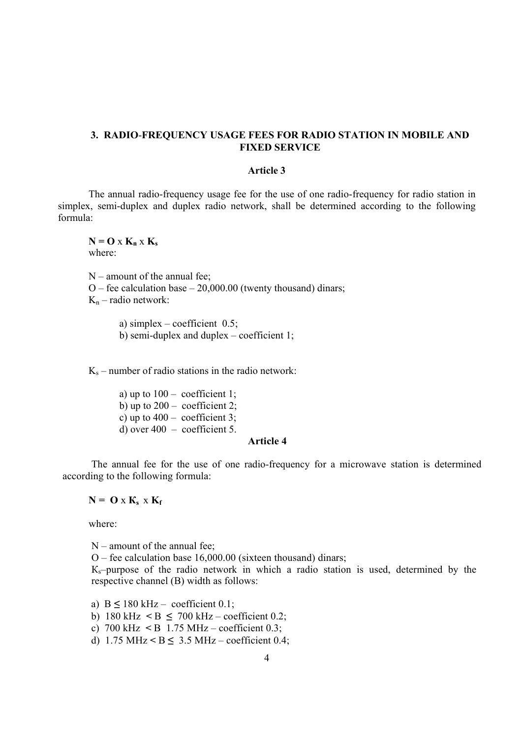### **3. RADIO**-**FREQUENCY USAGE FEES FOR RADIO STATION IN MOBILE AND FIXED SERVICE**

#### **Article 3**

 The annual radio-frequency usage fee for the use of one radio-frequency for radio station in simplex, semi-duplex and duplex radio network, shall be determined according to the following formula:

 $N = O X K_n X K_s$ where:

 $N$  – amount of the annual fee; O – fee calculation base –  $20,000.00$  (twenty thousand) dinars;  $K_n$  – radio network:

> a) simplex – coefficient  $0.5$ ; b) semi-duplex and duplex – coefficient 1;

 $K_s$  – number of radio stations in the radio network:

a) up to  $100 -$  coefficient 1; b) up to  $200 -$  coefficient 2; c) up to  $400 -$  coefficient 3; d) over  $400 - \text{coefficient } 5$ .

#### **Article 4**

The annual fee for the use of one radio-frequency for a microwave station is determined according to the following formula:

 $N = 0$  **x**  $K_s$  **x**  $K_f$ 

where:

N – amount of the annual fee;

О – fee calculation base 16,000.00 (sixteen thousand) dinars;

 $K_s$ -purpose of the radio network in which a radio station is used, determined by the respective channel (B) width as follows:

a)  $B \le 180$  kHz – coefficient 0.1;

b) 180 kHz  $\leq B \leq 700$  kHz – coefficient 0.2;

c) 700 kHz **<** B 1.75 МHz – coefficient 0.3;

d)  $1.75 \text{ MHz} < B \leq 3.5 \text{ MHz} - \text{coefficient } 0.4$ ;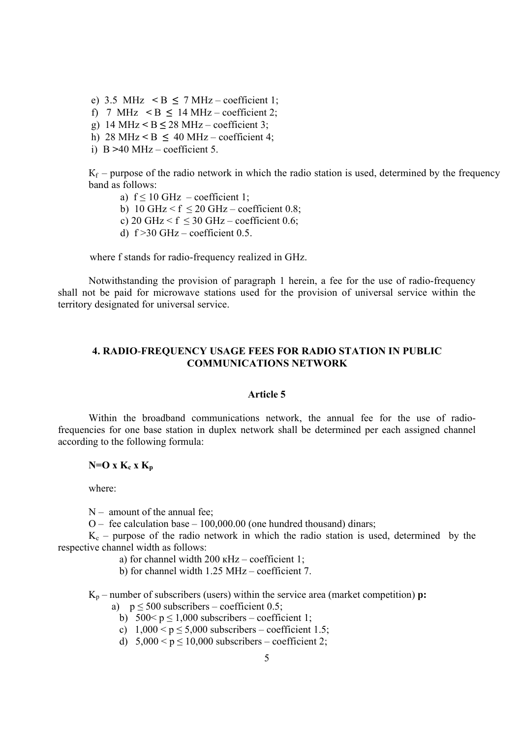e) 3.5 MHz  $\leq B \leq 7$  MHz – coefficient 1; f) 7 MHz  $\leq B \leq 14$  MHz – coefficient 2; g)  $14 \text{ MHz} < B \le 28 \text{ MHz} - \text{coefficient 3}$ ; h) 28 MHz  $\leq$  B  $\leq$  40 MHz – coefficient 4; i) B **>**40 МHz – coefficient 5.

 $K_f$  – purpose of the radio network in which the radio station is used, determined by the frequency band as follows:

a)  $f \le 10$  GHz – coefficient 1;

b) 10 GHz  $\leq$  f  $\leq$  20 GHz – coefficient 0.8;

c) 20 GHz  $\leq$  f  $\leq$  30 GHz – coefficient 0.6;

d)  $f > 30$  GHz – coefficient 0.5.

where f stands for radio-frequency realized in GHz.

Notwithstanding the provision of paragraph 1 herein, a fee for the use of radio-frequency shall not be paid for microwave stations used for the provision of universal service within the territory designated for universal service.

## **4. RADIO**-**FREQUENCY USAGE FEES FOR RADIO STATION IN PUBLIC COMMUNICATIONS NETWORK**

#### **Article 5**

 Within the broadband communications network, the annual fee for the use of radiofrequencies for one base station in duplex network shall be determined per each assigned channel according to the following formula:

## $N=O X K_c X K_p$

where:

 $N-$  amount of the annual fee:

 $O -$  fee calculation base  $-100,000,00$  (one hundred thousand) dinars;

 $K_c$  – purpose of the radio network in which the radio station is used, determined by the respective channel width as follows:

- а) for channel width 200 кHz coefficient 1;
- b) for channel width 1.25 MHz coefficient 7.

Kp – number of subscribers (users) within the service area (market competition) **р:**

- a)  $p \le 500$  subscribers coefficient 0.5;
	- b)  $500 < p \le 1,000$  subscribers coefficient 1;
	- c)  $1,000 \le p \le 5,000$  subscribers coefficient 1.5;
	- d)  $5,000 < p \le 10,000$  subscribers coefficient 2;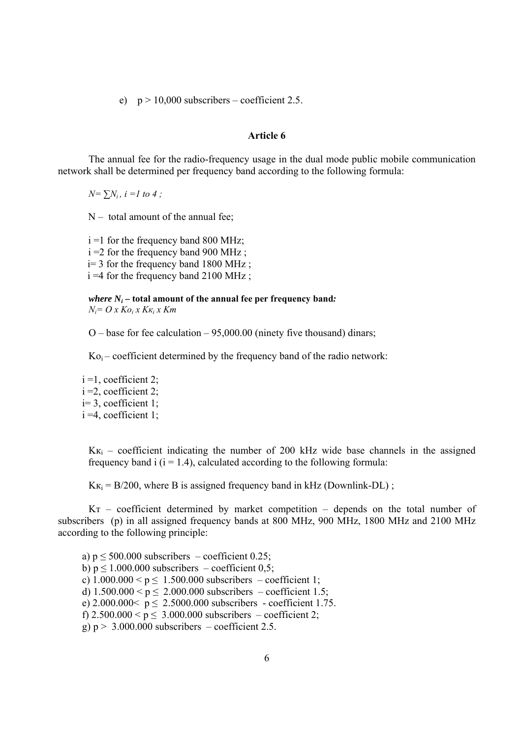e)  $p > 10,000$  subscribers – coefficient 2.5.

#### **Article 6**

The annual fee for the radio-frequency usage in the dual mode public mobile communication network shall be determined per frequency band according to the following formula:

 $N = \sum_i N_i$ ,  $i = 1$  to 4;

 $N -$  total amount of the annual fee;

 $i = 1$  for the frequency band 800 MHz; i =2 for the frequency band 900 МHz ; i= 3 for the frequency band 1800 МHz ; i =4 for the frequency band 2100 МHz ;

*where*  $N_i$  – **total amount of the annual fee per frequency band:**  $N_i = O x K o_i x K \kappa_i x K m$ 

 $O$  – base for fee calculation – 95,000,00 (ninety five thousand) dinars;

 $Ko_i$  – coefficient determined by the frequency band of the radio network:

 $i = 1$ , coefficient 2;  $i = 2$ , coefficient 2; i= 3, coefficient 1; i =4, coefficient 1;

 $K_{\text{K}i}$  – coefficient indicating the number of 200 kHz wide base channels in the assigned frequency band i  $(i = 1.4)$ , calculated according to the following formula:

 $K_{\text{K}_i} = B/200$ , where B is assigned frequency band in kHz (Downlink-DL);

Kт – coefficient determined by market competition – depends on the total number of subscribers (p) in all assigned frequency bands at 800 MHz, 900 MHz, 1800 MHz and 2100 MHz according to the following principle:

a)  $p \le 500.000$  subscribers – coefficient 0.25; b)  $p \le 1.000.000$  subscribers – coefficient 0.5; c)  $1.000.000 < p \le 1.500.000$  subscribers – coefficient 1; d)  $1.500.000 \le p \le 2.000.000$  subscribers – coefficient 1.5; e)  $2.000.000 < p \le 2.5000.000$  subscribers - coefficient 1.75. f)  $2.500.000 < p \le 3.000.000$  subscribers – coefficient 2; g)  $p > 3.000.000$  subscribers – coefficient 2.5.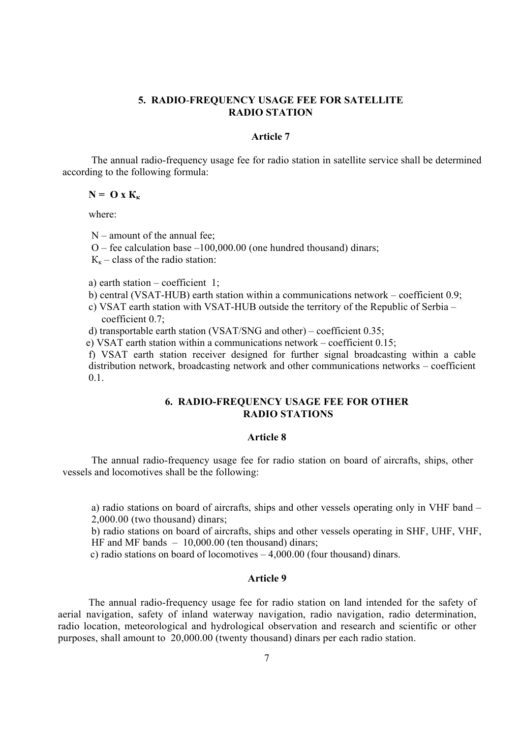## **5. RADIO**-**FREQUENCY USAGE FEE FOR SATELLITE RADIO STATION**

### **Article 7**

The annual radio-frequency usage fee for radio station in satellite service shall be determined according to the following formula:

#### $N =$ **O x**  $K_k$

where:

 $N$  – amount of the annual fee:

О – fee calculation base –100,000.00 (one hundred thousand) dinars;

 $K_{k}$  – class of the radio station:

a) earth station – coefficient 1;

- b) central (VSAT-HUB) earth station within a communications network coefficient 0.9;
- c) VSAT earth station with VSAT-HUB outside the territory of the Republic of Serbia coefficient 0.7;
- d) transportable earth station (VSAT/SNG and other) coefficient 0.35;
- e) VSAT earth station within a communications network coefficient 0.15;

f) VSAT earth station receiver designed for further signal broadcasting within a cable distribution network, broadcasting network and other communications networks – coefficient 0.1.

### **6. RADIO-FREQUENCY USAGE FEE FOR OTHER RADIO STATIONS**

#### **Article 8**

The annual radio-frequency usage fee for radio station on board of aircrafts, ships, other vessels and locomotives shall be the following:

а) radio stations on board of aircrafts, ships and other vessels operating only in VHF band – 2,000.00 (two thousand) dinars;

b) radio stations on board of aircrafts, ships and other vessels operating in SHF, UHF, VHF, HF and MF bands – 10,000.00 (ten thousand) dinars;

c) radio stations on board of locomotives – 4,000.00 (four thousand) dinars.

### **Article 9**

The annual radio-frequency usage fee for radio station on land intended for the safety of aerial navigation, safety of inland waterway navigation, radio navigation, radio determination, radio location, meteorological and hydrological observation and research and scientific or other purposes, shall amount to 20,000.00 (twenty thousand) dinars per each radio station.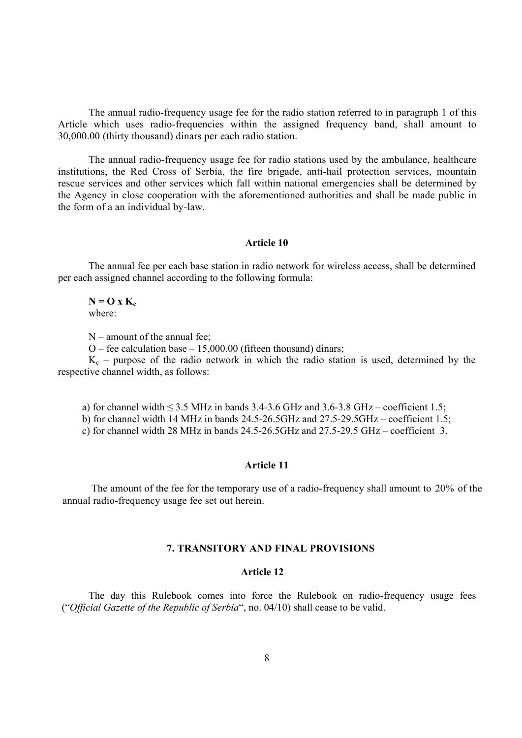The annual radio-frequency usage fee for the radio station referred to in paragraph 1 of this Article which uses radio-frequencies within the assigned frequency band, shall amount to 30,000.00 (thirty thousand) dinars per each radio station.

The annual radio-frequency usage fee for radio stations used by the ambulance, healthcare institutions, the Red Cross of Serbia, the fire brigade, anti-hail protection services, mountain rescue services and other services which fall within national emergencies shall be determined by the Agency in close cooperation with the aforementioned authorities and shall be made public in the form of a an individual by-law.

### **Article 10**

 The annual fee per each base station in radio network for wireless access, shall be determined per each assigned channel according to the following formula:

#### $N = O X K_c$ where:

N – amount of the annual fee;

O – fee calculation base –  $15,000.00$  (fifteen thousand) dinars;

 $K_c$  – purpose of the radio network in which the radio station is used, determined by the respective channel width, as follows:

a) for channel width  $\leq$  3.5 MHz in bands 3.4-3.6 GHz and 3.6-3.8 GHz – coefficient 1.5;

b) for channel width 14 MHz in bands 24.5-26.5GHz and 27.5-29.5GHz – coefficient 1.5;

c) for channel width 28 MHz in bands 24.5-26.5GHz and 27.5-29.5 GHz – coefficient 3.

#### **Article 11**

The amount of the fee for the temporary use of a radio-frequency shall amount to 20% of the annual radio-frequency usage fee set out herein.

### **7. TRANSITORY AND FINAL PROVISIONS**

## **Article 12**

The day this Rulebook comes into force the Rulebook on radio-frequency usage fees ("*Official Gazette of the Republic of Serbia*", no. 04/10) shall cease to be valid.